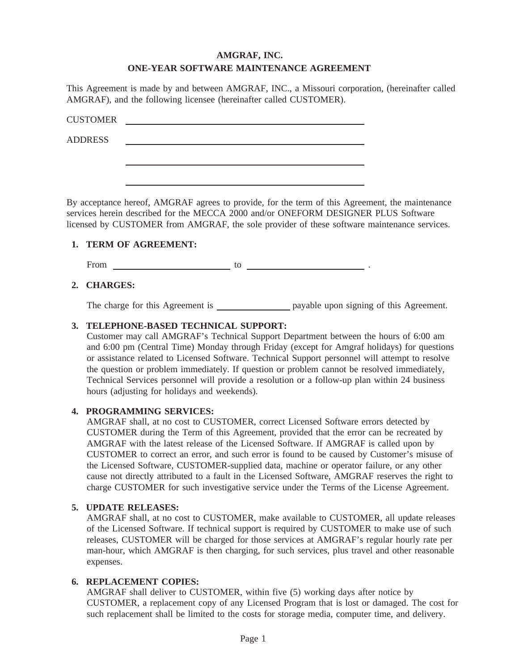# **AMGRAF, INC. ONE-YEAR SOFTWARE MAINTENANCE AGREEMENT**

This Agreement is made by and between AMGRAF, INC., a Missouri corporation, (hereinafter called AMGRAF), and the following licensee (hereinafter called CUSTOMER).

| <b>CUSTOMER</b> |  |  |
|-----------------|--|--|
| <b>ADDRESS</b>  |  |  |
|                 |  |  |
|                 |  |  |

By acceptance hereof, AMGRAF agrees to provide, for the term of this Agreement, the maintenance services herein described for the MECCA 2000 and/or ONEFORM DESIGNER PLUS Software licensed by CUSTOMER from AMGRAF, the sole provider of these software maintenance services.

### **1. TERM OF AGREEMENT:**

From  $\qquad \qquad$  to  $\qquad \qquad$  to  $\qquad \qquad$  .

# **2. CHARGES:**

The charge for this Agreement is payable upon signing of this Agreement.

### **3. TELEPHONE-BASED TECHNICAL SUPPORT:**

Customer may call AMGRAF's Technical Support Department between the hours of 6:00 am and 6:00 pm (Central Time) Monday through Friday (except for Amgraf holidays) for questions or assistance related to Licensed Software. Technical Support personnel will attempt to resolve the question or problem immediately. If question or problem cannot be resolved immediately, Technical Services personnel will provide a resolution or a follow-up plan within 24 business hours (adjusting for holidays and weekends).

### **4. PROGRAMMING SERVICES:**

AMGRAF shall, at no cost to CUSTOMER, correct Licensed Software errors detected by CUSTOMER during the Term of this Agreement, provided that the error can be recreated by AMGRAF with the latest release of the Licensed Software. If AMGRAF is called upon by CUSTOMER to correct an error, and such error is found to be caused by Customer's misuse of the Licensed Software, CUSTOMER-supplied data, machine or operator failure, or any other cause not directly attributed to a fault in the Licensed Software, AMGRAF reserves the right to charge CUSTOMER for such investigative service under the Terms of the License Agreement.

### **5. UPDATE RELEASES:**

AMGRAF shall, at no cost to CUSTOMER, make available to CUSTOMER, all update releases of the Licensed Software. If technical support is required by CUSTOMER to make use of such releases, CUSTOMER will be charged for those services at AMGRAF's regular hourly rate per man-hour, which AMGRAF is then charging, for such services, plus travel and other reasonable expenses.

### **6. REPLACEMENT COPIES:**

AMGRAF shall deliver to CUSTOMER, within five (5) working days after notice by CUSTOMER, a replacement copy of any Licensed Program that is lost or damaged. The cost for such replacement shall be limited to the costs for storage media, computer time, and delivery.